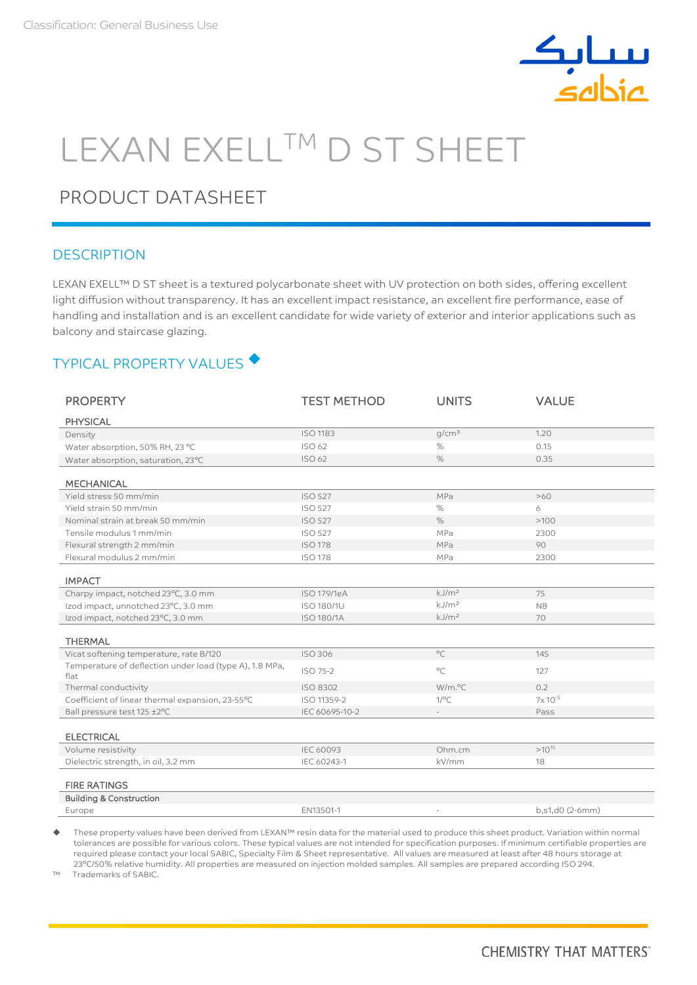

# LEXAN EXELL™ D ST SHEET

# PRODUCT DATASHEET

## **DESCRIPTION**

LEXAN EXELL™ D ST sheet is a textured polycarbonate sheet with UV protection on both sides, offering excellent light diffusion without transparency. It has an excellent impact resistance, an excellent fire performance, ease of handling and installation and is an excellent candidate for wide variety of exterior and interior applications such as balcony and staircase glazing.

# TYPICAL PROPERTY VALUES ♦

| <b>PROPERTY</b>                                                 | <b>TEST METHOD</b> | <b>UNITS</b>           | <b>VALUE</b>    |
|-----------------------------------------------------------------|--------------------|------------------------|-----------------|
| <b>PHYSICAL</b>                                                 |                    |                        |                 |
| Density                                                         | <b>ISO 1183</b>    | g/cm <sup>3</sup>      | 1.20            |
| Water absorption, 50% RH, 23 °C                                 | ISO 62             | $\%$                   | 0.15            |
| Water absorption, saturation, 23°C                              | <b>ISO 62</b>      | $\%$                   | 0.35            |
|                                                                 |                    |                        |                 |
| <b>MECHANICAL</b>                                               |                    |                        |                 |
| Yield stress 50 mm/min                                          | <b>ISO 527</b>     | MPa                    | >60             |
| Yield strain 50 mm/min                                          | <b>ISO 527</b>     | $\%$                   | 6               |
| Nominal strain at break 50 mm/min                               | <b>ISO 527</b>     | $\%$                   | >100            |
| Tensile modulus 1 mm/min                                        | <b>ISO 527</b>     | MPa                    | 2300            |
| Flexural strength 2 mm/min                                      | <b>ISO 178</b>     | MPa                    | 90              |
| Flexural modulus 2 mm/min                                       | <b>ISO 178</b>     | MPa                    | 2300            |
| <b>IMPACT</b>                                                   |                    |                        |                 |
| Charpy impact, notched 23°C, 3.0 mm                             | <b>ISO 179/1eA</b> | $k$ . J/m <sup>2</sup> | 75              |
| Izod impact, unnotched 23°C, 3.0 mm                             | <b>ISO 180/1U</b>  | kJ/m <sup>2</sup>      | <b>NB</b>       |
| Izod impact, notched 23°C, 3.0 mm                               |                    | kJ/m <sup>2</sup>      |                 |
|                                                                 | <b>ISO 180/1A</b>  |                        | 70              |
| <b>THERMAL</b>                                                  |                    |                        |                 |
| Vicat softening temperature, rate B/120                         | <b>ISO 306</b>     | $^{\circ}$ C           | 145             |
| Temperature of deflection under load (type A), 1.8 MPa,<br>flat | ISO 75-2           | $^{\circ}$ C           | 127             |
| Thermal conductivity                                            | <b>ISO 8302</b>    | W/m.°C                 | 0.2             |
| Coefficient of linear thermal expansion, 23-55°C                | ISO 11359-2        | $1$ /°C                | $7x 10^{-5}$    |
| Ball pressure test 125 ±2°C                                     | IEC 60695-10-2     |                        | Pass            |
|                                                                 |                    |                        |                 |
| <b>ELECTRICAL</b>                                               |                    |                        |                 |
| Volume resistivity                                              | <b>IEC 60093</b>   | Ohm.cm                 | $>10^{15}$      |
| Dielectric strength, in oil, 3.2 mm                             | IEC 60243-1        | kV/mm                  | 18              |
| <b>FIRE RATINGS</b>                                             |                    |                        |                 |
| <b>Building &amp; Construction</b>                              |                    |                        |                 |
| Europe                                                          | EN13501-1          |                        | b,s1,d0 (2-6mm) |
|                                                                 |                    |                        |                 |

 These property values have been derived from LEXAN™ resin data for the material used to produce this sheet product. Variation within normal tolerances are possible for various colors. These typical values are not intended for specification purposes. If minimum certifiable properties are required please contact your local SABIC, Specialty Film & Sheet representative. All values are measured at least after 48 hours storage at 23°C/50% relative humidity. All properties are measured on injection molded samples. All samples are prepared according ISO 294.

Trademarks of SABIC.